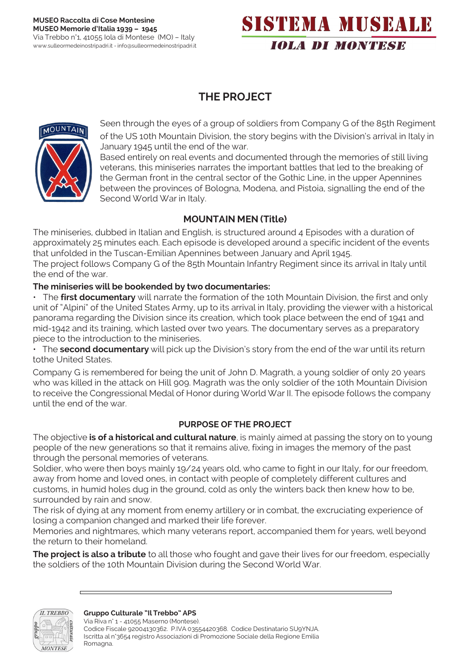# SISTEMA MUSEALE **IOLA DI MONTESE**

# **THE PROJECT**



Seen through the eyes of a group of soldiers from Company G of the 85th Regiment of the US 10th Mountain Division, the story begins with the Division's arrival in Italy in January 1945 until the end of the war.

Based entirely on real events and documented through the memories of still living veterans, this miniseries narrates the important battles that led to the breaking of the German front in the central sector of the Gothic Line, in the upper Apennines between the provinces of Bologna, Modena, and Pistoia, signalling the end of the Second World War in Italy.

## **MOUNTAIN MEN (Title)**

The miniseries, dubbed in Italian and English, is structured around 4 Episodes with a duration of approximately 25 minutes each. Each episode is developed around a specific incident of the events that unfolded in the Tuscan-Emilian Apennines between January and April 1945.

The project follows Company G of the 85th Mountain Infantry Regiment since its arrival in Italy until the end of the war.

#### **The miniseries will be bookended by two documentaries:**

• The **first documentary** will narrate the formation of the 10th Mountain Division, the first and only unit of "Alpini" of the United States Army, up to its arrival in Italy, providing the viewer with a historical panorama regarding the Division since its creation, which took place between the end of 1941 and mid-1942 and its training, which lasted over two years. The documentary serves as a preparatory piece to the introduction to the miniseries.

• The **second documentary** will pick up the Division's story from the end of the war until its return tothe United States.

Company G is remembered for being the unit of John D. Magrath, a young soldier of only 20 years who was killed in the attack on Hill 909. Magrath was the only soldier of the 10th Mountain Division to receive the Congressional Medal of Honor during World War II. The episode follows the company until the end of the war.

#### **PURPOSE OF THE PROJECT**

The objective **is of a historical and cultural nature**, is mainly aimed at passing the story on to young people of the new generations so that it remains alive, fixing in images the memory of the past through the personal memories of veterans.

Soldier, who were then boys mainly 19/24 years old, who came to fight in our Italy, for our freedom, away from home and loved ones, in contact with people of completely different cultures and customs, in humid holes dug in the ground, cold as only the winters back then knew how to be, surrounded by rain and snow.

The risk of dying at any moment from enemy artillery or in combat, the excruciating experience of losing a companion changed and marked their life forever.

Memories and nightmares, which many veterans report, accompanied them for years, well beyond the return to their homeland.

**The project is also a tribute** to all those who fought and gave their lives for our freedom, especially the soldiers of the 10th Mountain Division during the Second World War.



Via Riva n° 1 - 41055 Maserno (Montese). Codice Fiscale 92004130362. P.IVA 03554420368. Codice Destinatario SU9YNJA. Iscritta al n°3654 registro Associazioni di Promozione Sociale della Regione Emilia Romagn[a.](mailto:gruppoculturaleiltrebboaps@pec.it)